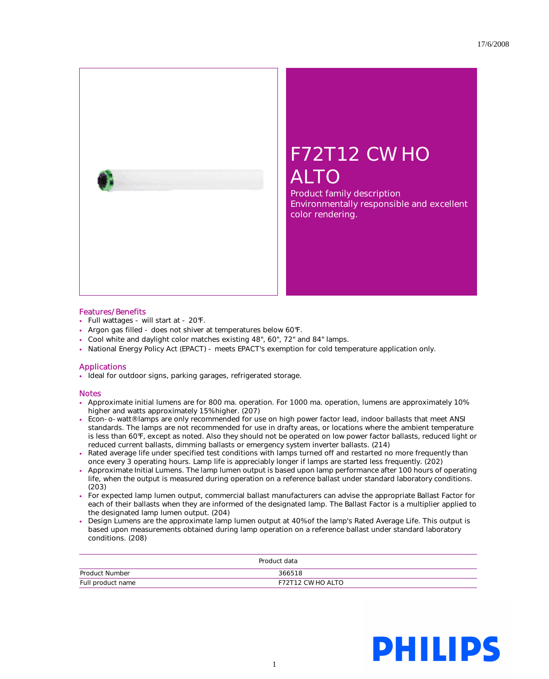

## F72T12 CW HO ALTO

Product family description Environmentally responsible and excellent color rendering.

## Features/Benefits

- Full wattages will start at 20°F.
- Argon gas filled does not shiver at temperatures below 60°F.
- Cool white and daylight color matches existing 48", 60", 72" and 84" lamps.
- National Energy Policy Act (EPACT) meets EPACT's exemption for cold temperature application only.

## Applications

• Ideal for outdoor signs, parking garages, refrigerated storage.

## Notes

- Approximate initial lumens are for 800 ma. operation. For 1000 ma. operation, lumens are approximately 10% higher and watts approximately 15% higher. (207)
- Econ-o-watt® lamps are only recommended for use on high power factor lead, indoor ballasts that meet ANSI standards. The lamps are not recommended for use in drafty areas, or locations where the ambient temperature is less than 60°F, except as noted. Also they should not be operated on low power factor ballasts, reduced light or reduced current ballasts, dimming ballasts or emergency system inverter ballasts. (214)
- Rated average life under specified test conditions with lamps turned off and restarted no more frequently than once every 3 operating hours. Lamp life is appreciably longer if lamps are started less frequently. (202)
- Approximate Initial Lumens. The lamp lumen output is based upon lamp performance after 100 hours of operating life, when the output is measured during operation on a reference ballast under standard laboratory conditions. (203)
- For expected lamp lumen output, commercial ballast manufacturers can advise the appropriate Ballast Factor for each of their ballasts when they are informed of the designated lamp. The Ballast Factor is a multiplier applied to the designated lamp lumen output. (204)
- Design Lumens are the approximate lamp lumen output at 40% of the lamp's Rated Average Life. This output is based upon measurements obtained during lamp operation on a reference ballast under standard laboratory conditions. (208)

| Product data      |                   |
|-------------------|-------------------|
| Product Number    | 366518            |
| Full product name | F72T12 CW HO ALTO |